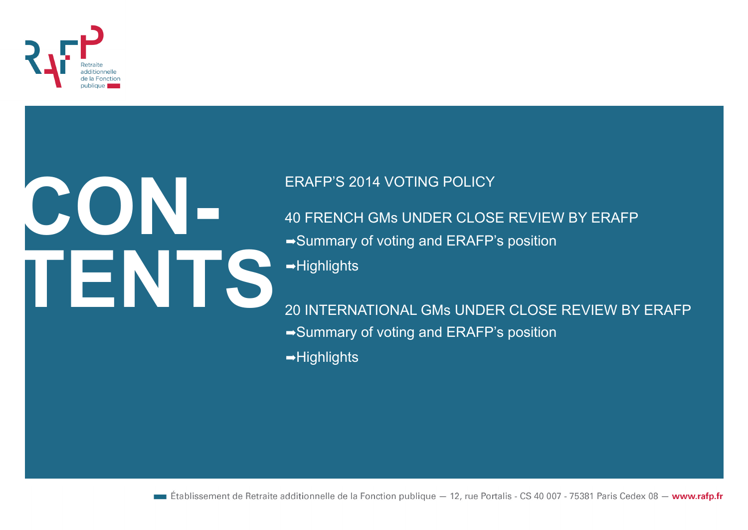

# **CON-TENTS**

#### ERAFP'S 2014 VOTING POLICY

#### 40 FRENCH GMs UNDER CLOSE REVIEW BY ERAFP

- ➡Summary of voting and ERAFP's position
- ➡Highlights

#### 20 INTERNATIONAL GMs UNDER CLOSE REVIEW BY ERAFP

- ➡Summary of voting and ERAFP's position
- ➡Highlights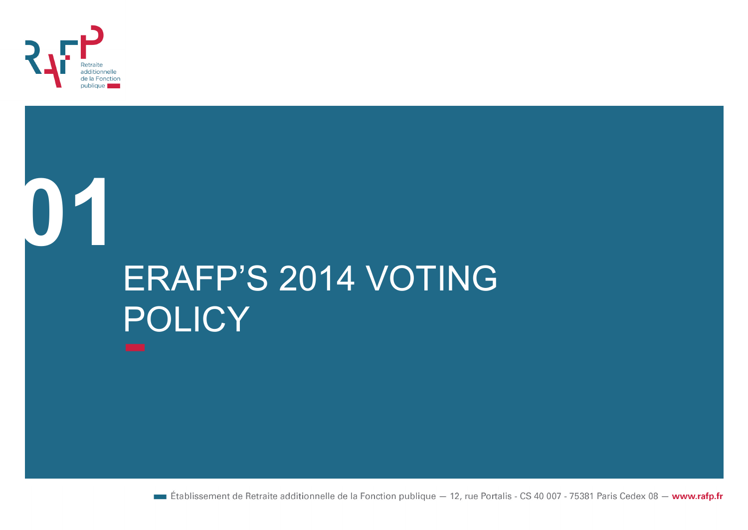

**0** 

# ERAFP'S 2014 VOTING **POLICY**

Etablissement de Retraite additionnelle de la Fonction publique - 12, rue Portalis - CS 40 007 - 75381 Paris Cedex 08 - www.rafp.fr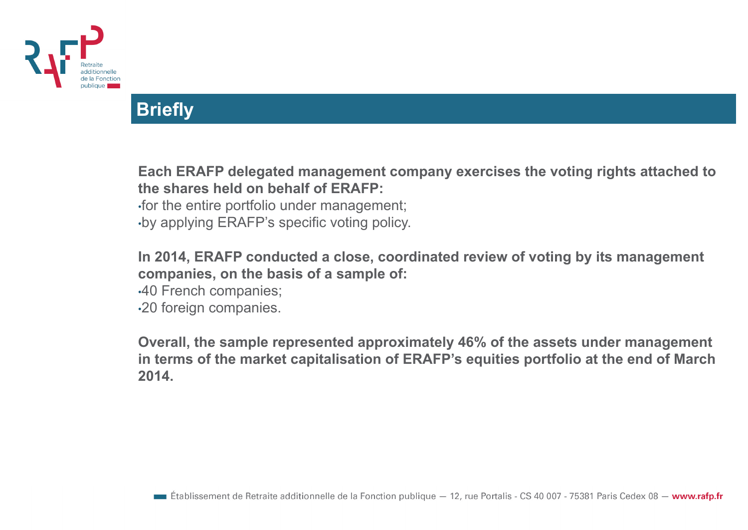

### **Briefly**

**Each ERAFP delegated management company exercises the voting rights attached to the shares held on behalf of ERAFP:** 

•for the entire portfolio under management;

•by applying ERAFP's specific voting policy.

**In 2014, ERAFP conducted a close, coordinated review of voting by its management companies, on the basis of a sample of:** 

•40 French companies;

•20 foreign companies.

**Overall, the sample represented approximately 46% of the assets under management in terms of the market capitalisation of ERAFP's equities portfolio at the end of March 2014.**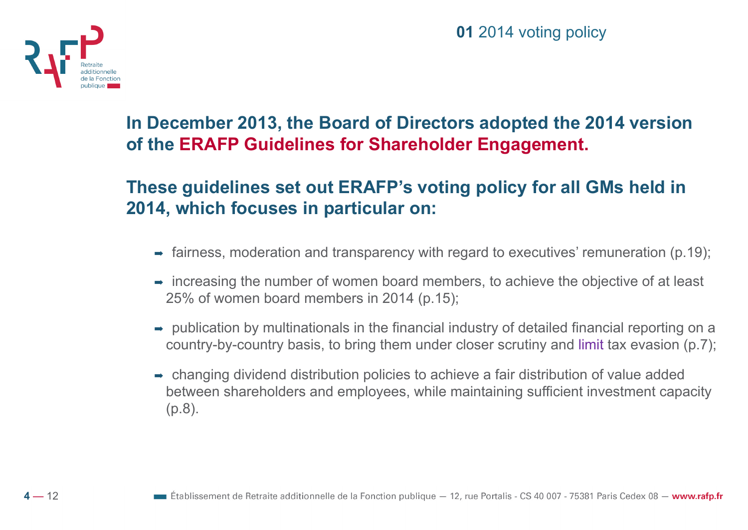



### **In December 2013, the Board of Directors adopted the 2014 version of the ERAFP Guidelines for Shareholder Engagement.**

### **These guidelines set out ERAFP's voting policy for all GMs held in 2014, which focuses in particular on:**

- $\rightarrow$  fairness, moderation and transparency with regard to executives' remuneration (p.19);
- $\rightarrow$  increasing the number of women board members, to achieve the objective of at least 25% of women board members in 2014 (p.15);
- $\rightarrow$  publication by multinationals in the financial industry of detailed financial reporting on a country-by-country basis, to bring them under closer scrutiny and limit tax evasion (p.7);
- $\rightarrow$  changing dividend distribution policies to achieve a fair distribution of value added between shareholders and employees, while maintaining sufficient investment capacity (p.8).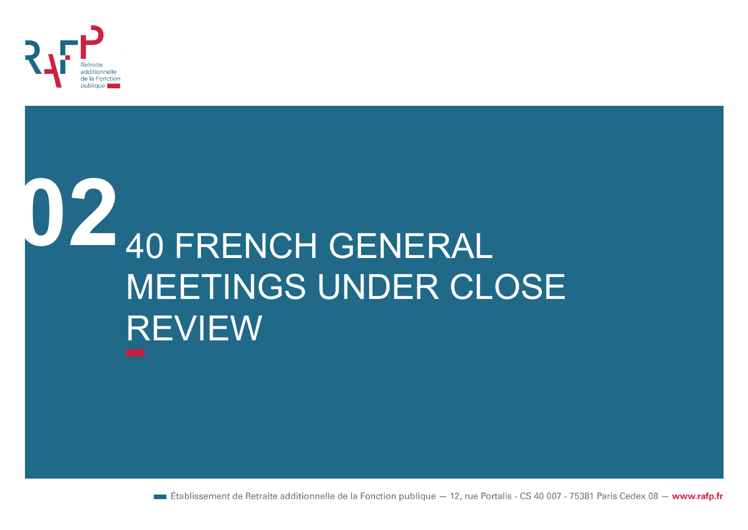

# **02** 40 FRENCH GENERAL MEETINGS UNDER CLOSE REVIEW

**Etablissement de Retraite additionnelle de la Fonction publique**  $-12$ , rue Portalis - CS 40 007 - 75381 Paris Cedex 08 - www.rafp.fr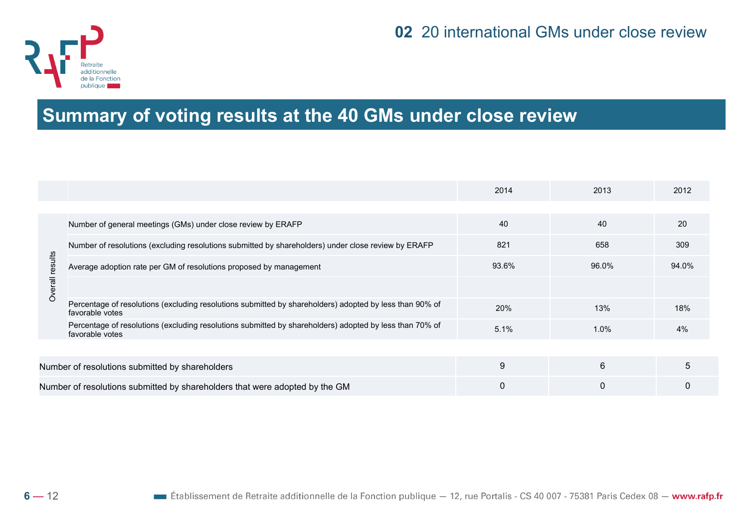

### **Summary of voting results at the 40 GMs under close review**

|                                                                             |                                                                                                                            | 2014  | 2013        | 2012  |
|-----------------------------------------------------------------------------|----------------------------------------------------------------------------------------------------------------------------|-------|-------------|-------|
|                                                                             |                                                                                                                            |       |             |       |
| results<br>Overall                                                          | Number of general meetings (GMs) under close review by ERAFP                                                               | 40    | 40          | 20    |
|                                                                             | Number of resolutions (excluding resolutions submitted by shareholders) under close review by ERAFP                        | 821   | 658         | 309   |
|                                                                             | Average adoption rate per GM of resolutions proposed by management                                                         | 93.6% | 96.0%       | 94.0% |
|                                                                             |                                                                                                                            |       |             |       |
|                                                                             | Percentage of resolutions (excluding resolutions submitted by shareholders) adopted by less than 90% of<br>favorable votes | 20%   | 13%         | 18%   |
|                                                                             | Percentage of resolutions (excluding resolutions submitted by shareholders) adopted by less than 70% of<br>favorable votes | 5.1%  | 1.0%        | 4%    |
|                                                                             |                                                                                                                            |       |             |       |
| Number of resolutions submitted by shareholders                             |                                                                                                                            | 9     | 6           | 5     |
| Number of resolutions submitted by shareholders that were adopted by the GM |                                                                                                                            | 0     | $\mathbf 0$ |       |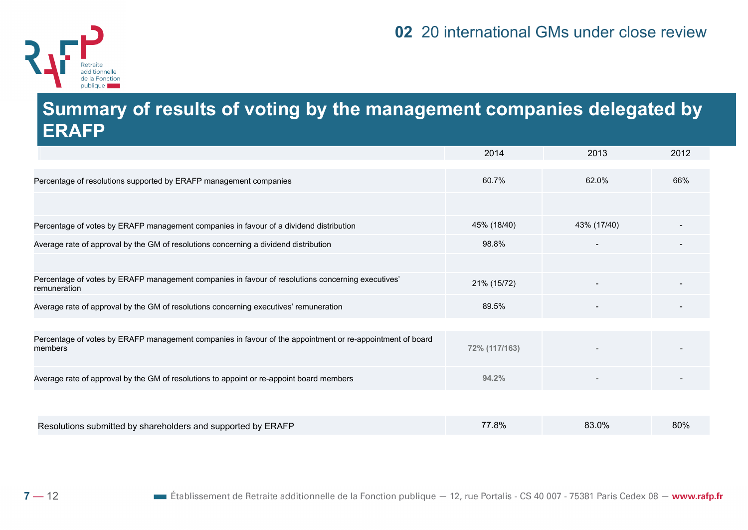

### **Summary of results of voting by the management companies delegated by ERAFP**

|                                                                                                                      | 2014          | 2013        | 2012 |
|----------------------------------------------------------------------------------------------------------------------|---------------|-------------|------|
| Percentage of resolutions supported by ERAFP management companies                                                    | 60.7%         | 62.0%       | 66%  |
|                                                                                                                      |               |             |      |
| Percentage of votes by ERAFP management companies in favour of a dividend distribution                               | 45% (18/40)   | 43% (17/40) |      |
| Average rate of approval by the GM of resolutions concerning a dividend distribution                                 | 98.8%         |             |      |
|                                                                                                                      |               |             |      |
| Percentage of votes by ERAFP management companies in favour of resolutions concerning executives'<br>remuneration    | 21% (15/72)   |             |      |
| Average rate of approval by the GM of resolutions concerning executives' remuneration                                | 89.5%         |             |      |
|                                                                                                                      |               |             |      |
| Percentage of votes by ERAFP management companies in favour of the appointment or re-appointment of board<br>members | 72% (117/163) |             |      |
| Average rate of approval by the GM of resolutions to appoint or re-appoint board members                             | 94.2%         |             |      |
|                                                                                                                      |               |             |      |
| Resolutions submitted by shareholders and supported by ERAFP                                                         | 77.8%         | 83.0%       | 80%  |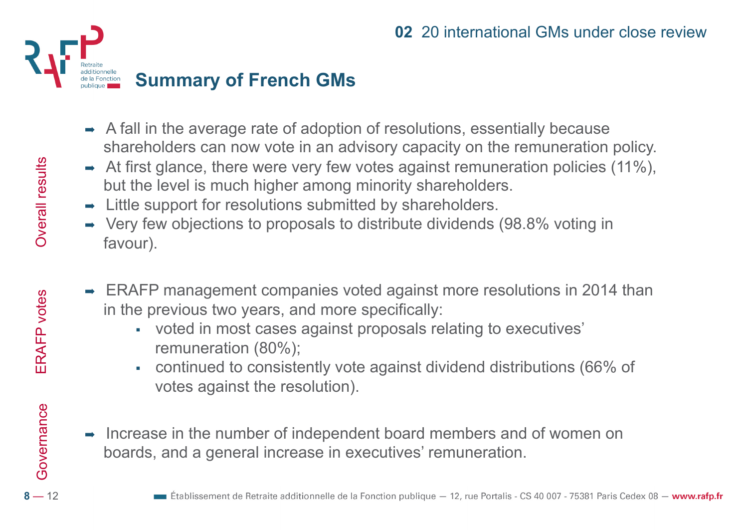

- $\rightarrow$  A fall in the average rate of adoption of resolutions, essentially because shareholders can now vote in an advisory capacity on the remuneration policy.
- $\rightarrow$  At first glance, there were very few votes against remuneration policies (11%), but the level is much higher among minority shareholders.
- $\rightarrow$  Little support for resolutions submitted by shareholders.
- → Very few objections to proposals to distribute dividends (98.8% voting in favour).
- $\rightarrow$  ERAFP management companies voted against more resolutions in 2014 than in the previous two years, and more specifically:
	- § voted in most cases against proposals relating to executives' remuneration (80%);
	- § continued to consistently vote against dividend distributions (66% of votes against the resolution).
- → Increase in the number of independent board members and of women on boards, and a general increase in executives' remuneration.

Governance

**8** — 12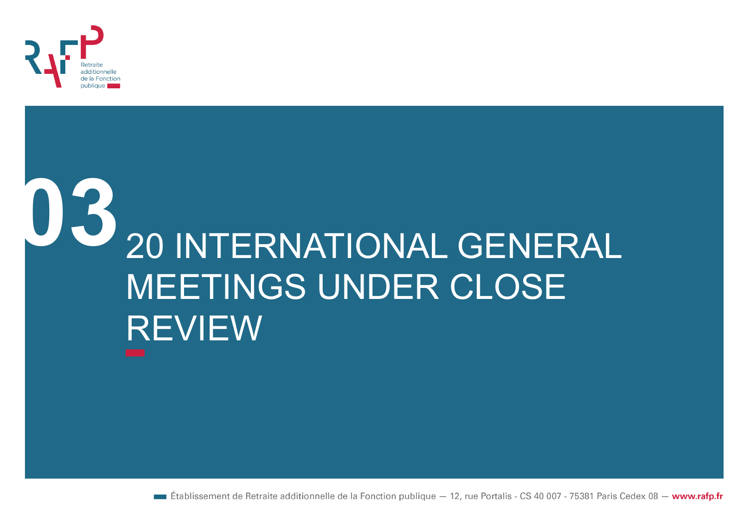

## **03** 20 INTERNATIONAL GENERAL MEETINGS UNDER CLOSE REVIEW

**Etablissement de Retraite additionnelle de la Fonction publique**  $-12$ , rue Portalis - CS 40 007 - 75381 Paris Cedex 08 - www.rafp.fr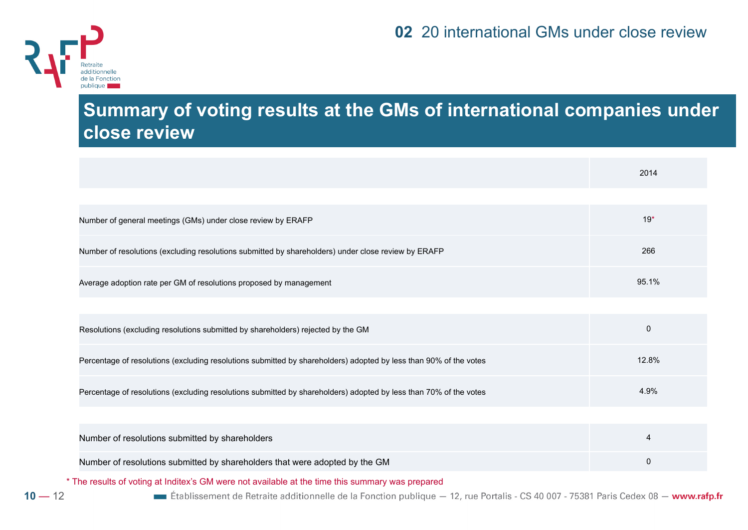

### **Summary of voting results at the GMs of international companies under close review**

|                                                                                                                                                                                                                                | 2014        |  |
|--------------------------------------------------------------------------------------------------------------------------------------------------------------------------------------------------------------------------------|-------------|--|
|                                                                                                                                                                                                                                |             |  |
| Number of general meetings (GMs) under close review by ERAFP                                                                                                                                                                   | $19*$       |  |
| Number of resolutions (excluding resolutions submitted by shareholders) under close review by ERAFP                                                                                                                            | 266         |  |
| Average adoption rate per GM of resolutions proposed by management                                                                                                                                                             | 95.1%       |  |
|                                                                                                                                                                                                                                |             |  |
| Resolutions (excluding resolutions submitted by shareholders) rejected by the GM                                                                                                                                               | $\mathbf 0$ |  |
| Percentage of resolutions (excluding resolutions submitted by shareholders) adopted by less than 90% of the votes                                                                                                              | 12.8%       |  |
| Percentage of resolutions (excluding resolutions submitted by shareholders) adopted by less than 70% of the votes                                                                                                              | 4.9%        |  |
|                                                                                                                                                                                                                                |             |  |
| Number of resolutions submitted by shareholders                                                                                                                                                                                | 4           |  |
| Number of resolutions submitted by shareholders that were adopted by the GM                                                                                                                                                    | $\mathbf 0$ |  |
| the contract of the contract of the contract of the contract of the contract of the contract of the contract of the contract of the contract of the contract of the contract of the contract of the contract of the contract o |             |  |

\* The results of voting at Inditex's GM were not available at the time this summary was prepared

 $\blacksquare$  Établissement de Retraite additionnelle de la Fonction publique  $-12$ , rue Portalis - CS 40 007 - 75381 Paris Cedex 08  $-$  www.rafp.fr

 $10 - 12$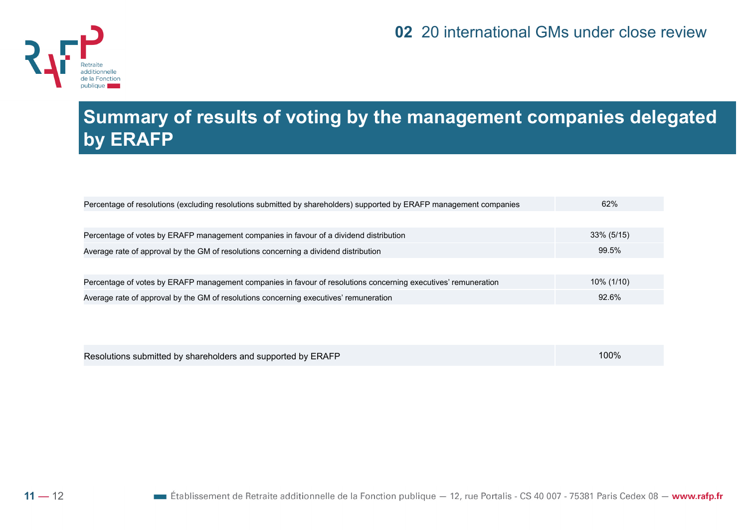

### **Summary of results of voting by the management companies delegated by ERAFP**

| Percentage of resolutions (excluding resolutions submitted by shareholders) supported by ERAFP management companies | 62%           |
|---------------------------------------------------------------------------------------------------------------------|---------------|
|                                                                                                                     |               |
| Percentage of votes by ERAFP management companies in favour of a dividend distribution                              | $33\%$ (5/15) |
| Average rate of approval by the GM of resolutions concerning a dividend distribution                                | 99.5%         |
|                                                                                                                     |               |
| Percentage of votes by ERAFP management companies in favour of resolutions concerning executives' remuneration      | $10\%$ (1/10) |
| Average rate of approval by the GM of resolutions concerning executives' remuneration                               | 92.6%         |
|                                                                                                                     |               |

| Resolutions submitted by shareholders and supported by ERAFP | 100% |
|--------------------------------------------------------------|------|
|--------------------------------------------------------------|------|